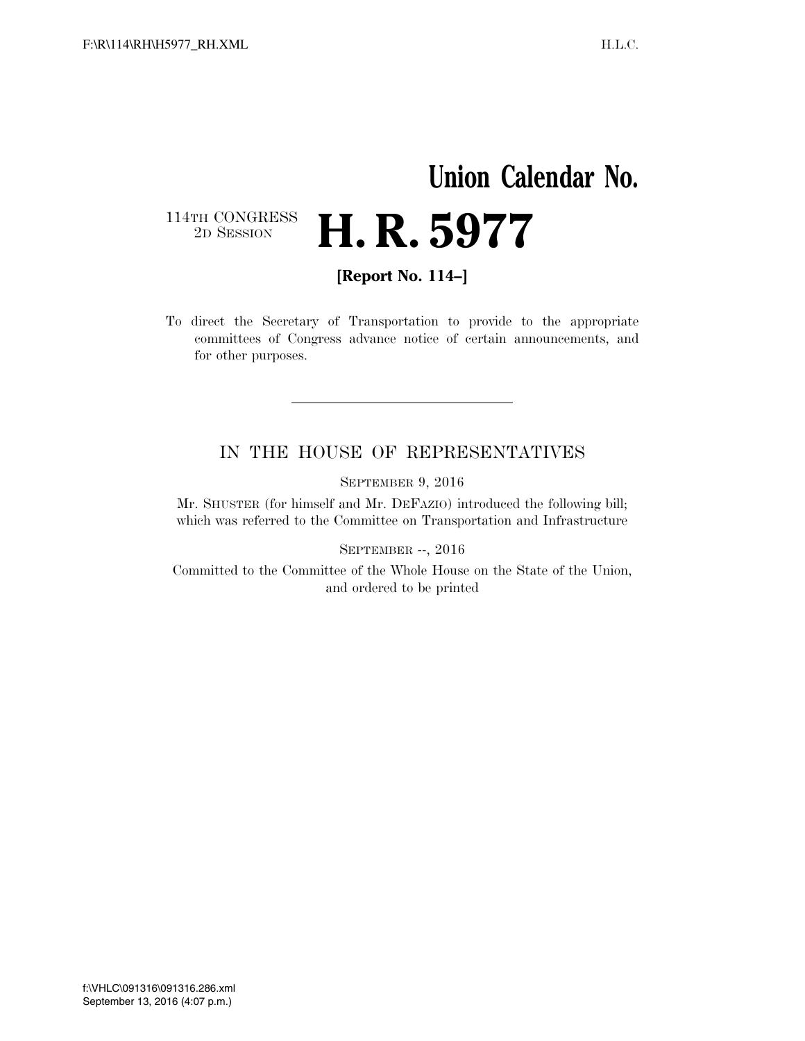## **Union Calendar No.**   $\begin{array}{c} \textbf{114TH CONGRESS} \\ \textbf{2D} \textbf{Session} \end{array}$ 2D SESSION **H. R. 5977**

**[Report No. 114–]** 

To direct the Secretary of Transportation to provide to the appropriate committees of Congress advance notice of certain announcements, and for other purposes.

## IN THE HOUSE OF REPRESENTATIVES

SEPTEMBER 9, 2016

Mr. SHUSTER (for himself and Mr. DEFAZIO) introduced the following bill; which was referred to the Committee on Transportation and Infrastructure

SEPTEMBER --, 2016

Committed to the Committee of the Whole House on the State of the Union, and ordered to be printed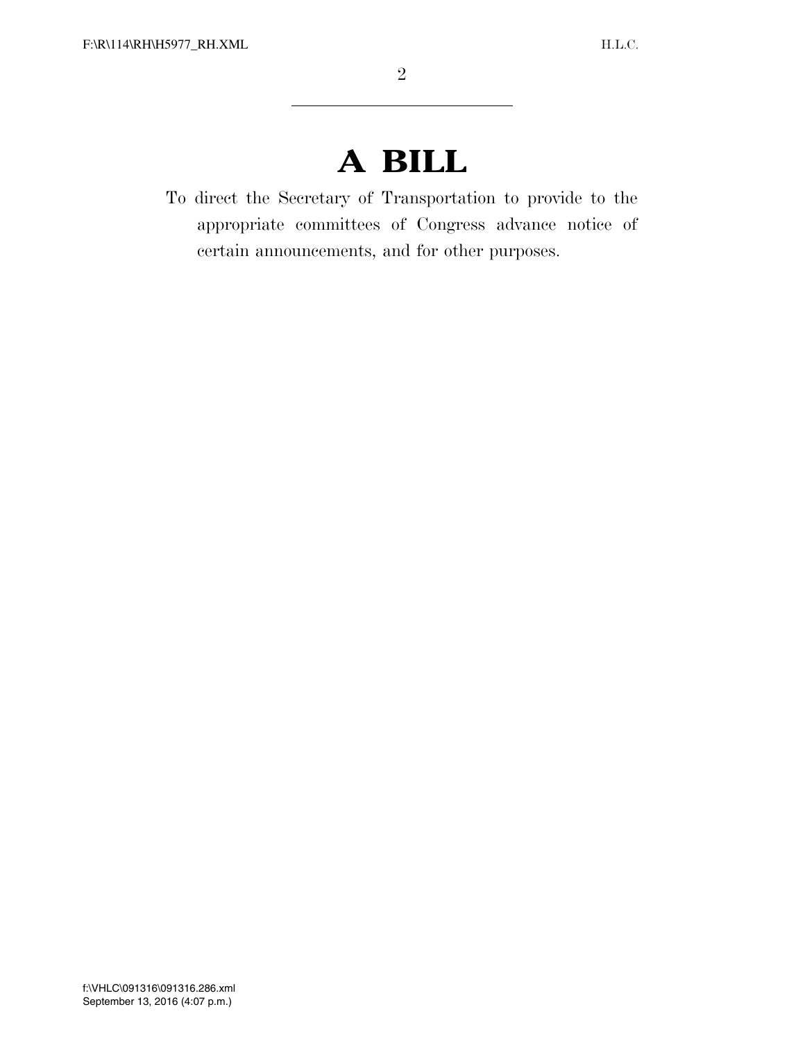## **A BILL**

To direct the Secretary of Transportation to provide to the appropriate committees of Congress advance notice of certain announcements, and for other purposes.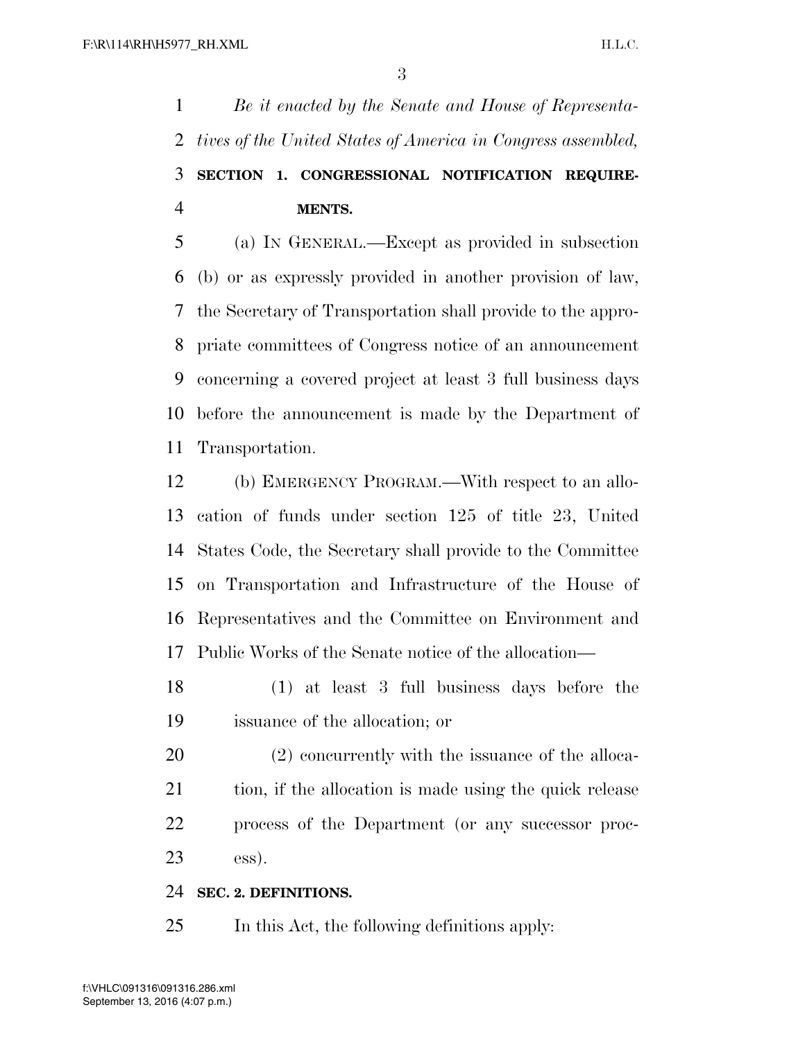*Be it enacted by the Senate and House of Representa- tives of the United States of America in Congress assembled,*  **SECTION 1. CONGRESSIONAL NOTIFICATION REQUIRE-MENTS.** 

 (a) IN GENERAL.—Except as provided in subsection (b) or as expressly provided in another provision of law, the Secretary of Transportation shall provide to the appro- priate committees of Congress notice of an announcement concerning a covered project at least 3 full business days before the announcement is made by the Department of Transportation.

 (b) EMERGENCY PROGRAM.—With respect to an allo- cation of funds under section 125 of title 23, United States Code, the Secretary shall provide to the Committee on Transportation and Infrastructure of the House of Representatives and the Committee on Environment and Public Works of the Senate notice of the allocation—

 (1) at least 3 full business days before the issuance of the allocation; or

 (2) concurrently with the issuance of the alloca-21 tion, if the allocation is made using the quick release process of the Department (or any successor proc-ess).

## **SEC. 2. DEFINITIONS.**

In this Act, the following definitions apply: